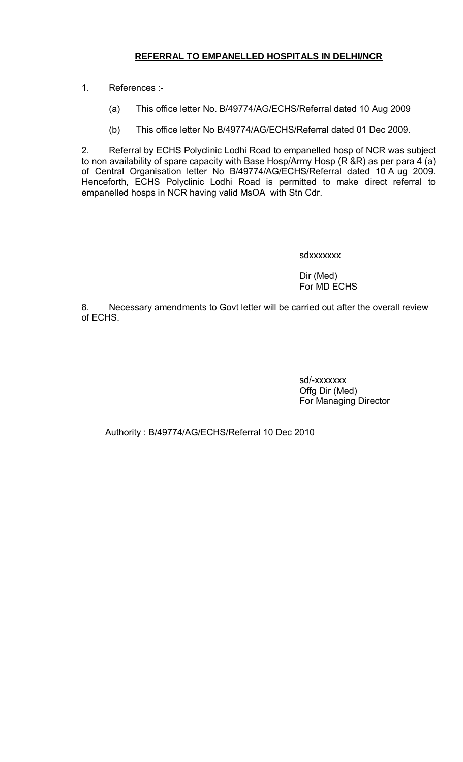## **REFERRAL TO EMPANELLED HOSPITALS IN DELHI/NCR**

1. References :-

- (a) This office letter No. B/49774/AG/ECHS/Referral dated 10 Aug 2009
- (b) This office letter No B/49774/AG/ECHS/Referral dated 01 Dec 2009.

2. Referral by ECHS Polyclinic Lodhi Road to empanelled hosp of NCR was subject to non availability of spare capacity with Base Hosp/Army Hosp  $(R \& R)$  as per para 4 (a) of Central Organisation letter No B/49774/AG/ECHS/Referral dated 10 A ug 2009. Henceforth, ECHS Polyclinic Lodhi Road is permitted to make direct referral to empanelled hosps in NCR having valid MsOA with Stn Cdr.

sdxxxxxxx

Dir (Med) For MD ECHS

8. Necessary amendments to Govt letter will be carried out after the overall review of ECHS.

> sd/-xxxxxxx Offg Dir (Med) For Managing Director

Authority : B/49774/AG/ECHS/Referral 10 Dec 2010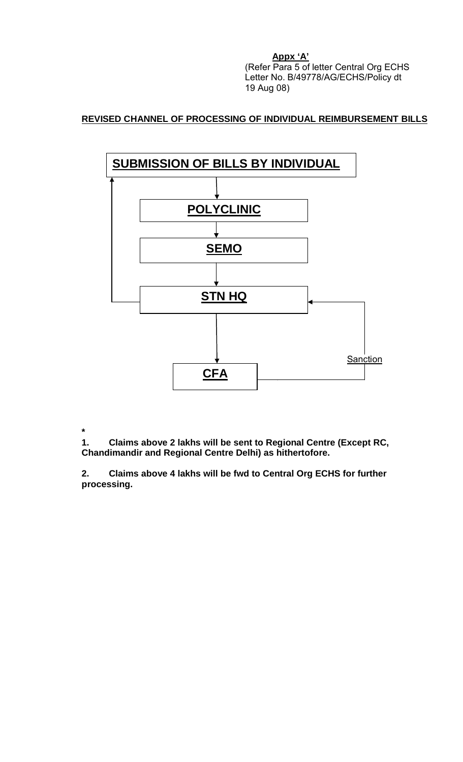**Appx 'A'**

(Refer Para 5 of letter Central Org ECHS Letter No. B/49778/AG/ECHS/Policy dt 19 Aug 08)

# **REVISED CHANNEL OF PROCESSING OF INDIVIDUAL REIMBURSEMENT BILLS**



**\*** 

**1. Claims above 2 lakhs will be sent to Regional Centre (Except RC, Chandimandir and Regional Centre Delhi) as hithertofore.**

**2. Claims above 4 lakhs will be fwd to Central Org ECHS for further processing.**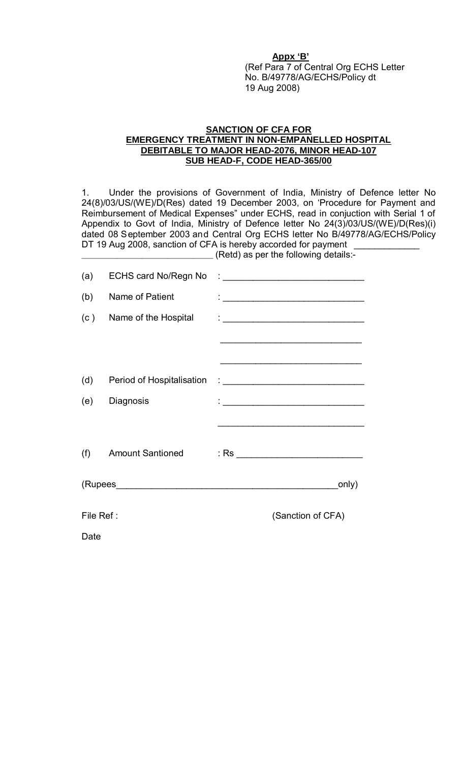#### **Appx 'B'**

(Ref Para 7 of Central Org ECHS Letter No. B/49778/AG/ECHS/Policy dt 19 Aug 2008)

#### **SANCTION OF CFA FOR EMERGENCY TREATMENT IN NON-EMPANELLED HOSPITAL DEBITABLE TO MAJOR HEAD-2076, MINOR HEAD-107 SUB HEAD-F, CODE HEAD-365/00**

1. Under the provisions of Government of India, Ministry of Defence letter No 24(8)/03/US/(WE)/D(Res) dated 19 December 2003, on 'Procedure for Payment and Reimbursement of Medical Expenses" under ECHS, read in conjuction with Serial 1 of Appendix to Govt of India, Ministry of Defence letter No 24(3)/03/US/(WE)/D(Res)(i) dated 08 September 2003 and Central Org ECHS letter No B/49778/AG/ECHS/Policy DT 19 Aug 2008, sanction of CFA is hereby accorded for payment

**\_\_\_\_\_\_\_\_\_\_\_\_\_\_\_\_\_\_\_\_\_\_\_\_\_\_** (Retd) as per the following details:-

| (a)       | <b>ECHS card No/Regn No</b> |  | <u> 1999 - Johann Barbara, martxa al</u>                                |
|-----------|-----------------------------|--|-------------------------------------------------------------------------|
| (b)       | Name of Patient             |  |                                                                         |
| (c)       | Name of the Hospital        |  | $\mathcal{L}_{\text{max}}$ . The contract of $\mathcal{L}_{\text{max}}$ |
|           |                             |  |                                                                         |
|           |                             |  |                                                                         |
| (d)       | Period of Hospitalisation   |  |                                                                         |
| (e)       | Diagnosis                   |  |                                                                         |
|           |                             |  |                                                                         |
| (f)       | <b>Amount Santioned</b>     |  |                                                                         |
|           |                             |  | only)                                                                   |
| File Ref: |                             |  | (Sanction of CFA)                                                       |
| Date      |                             |  |                                                                         |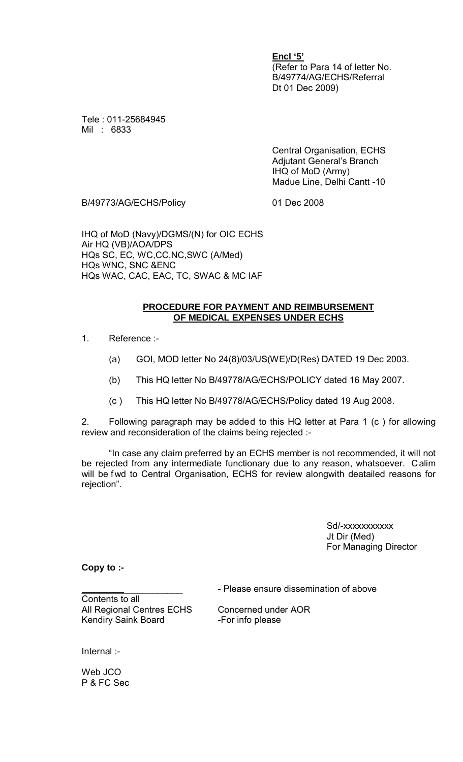**Encl '5'** (Refer to Para 14 of letter No. B/49774/AG/ECHS/Referral Dt 01 Dec 2009)

Tele : 011-25684945 Mil : 6833

> Central Organisation, ECHS Adjutant General's Branch IHQ of MoD (Army) Madue Line, Delhi Cantt -10

B/49773/AG/ECHS/Policy 01 Dec 2008

IHQ of MoD (Navy)/DGMS/(N) for OIC ECHS Air HQ (VB)/AOA/DPS HQs SC, EC, WC,CC,NC,SWC (A/Med) HQs WNC, SNC &ENC HQs WAC, CAC, EAC, TC, SWAC & MC IAF

#### **PROCEDURE FOR PAYMENT AND REIMBURSEMENT OF MEDICAL EXPENSES UNDER ECHS**

- 1. Reference :-
	- (a) GOI, MOD letter No 24(8)/03/US(WE)/D(Res) DATED 19 Dec 2003.
	- (b) This HQ letter No B/49778/AG/ECHS/POLICY dated 16 May 2007.
	- (c ) This HQ letter No B/49778/AG/ECHS/Policy dated 19 Aug 2008.

2. Following paragraph may be added to this HQ letter at Para 1 (c ) for allowing review and reconsideration of the claims being rejected :-

"In case any claim preferred by an ECHS member is not recommended, it will not be rejected from any intermediate functionary due to any reason, whatsoever. Calim will be fwd to Central Organisation, ECHS for review alongwith deatailed reasons for rejection".

> Sd/-xxxxxxxxxx Jt Dir (Med) For Managing Director

**Copy to :-**

\_\_\_\_\_\_\_\_\_\_\_\_\_\_\_\_\_\_\_\_ - Please ensure dissemination of above

Contents to all All Regional Centres ECHS Concerned under AOR Kendiry Saink Board -For info please

Internal :-

Web JCO P & FC Sec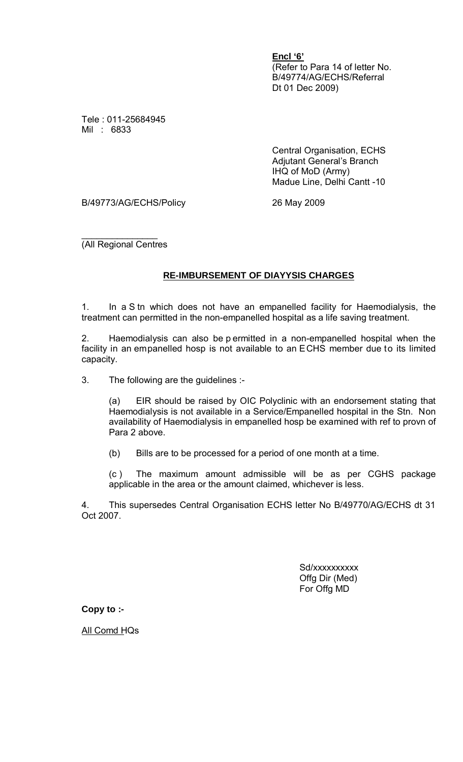**Encl '6'** (Refer to Para 14 of letter No. B/49774/AG/ECHS/Referral Dt 01 Dec 2009)

Tele : 011-25684945 Mil : 6833

> Central Organisation, ECHS Adjutant General's Branch IHQ of MoD (Army) Madue Line, Delhi Cantt -10

B/49773/AG/ECHS/Policy 26 May 2009

 $\overline{\phantom{a}}$  , which is the set of the set of the set of the set of the set of the set of the set of the set of the set of the set of the set of the set of the set of the set of the set of the set of the set of the set of (All Regional Centres

### **RE-IMBURSEMENT OF DIAYYSIS CHARGES**

1. In a S tn which does not have an empanelled facility for Haemodialysis, the treatment can permitted in the non-empanelled hospital as a life saving treatment.

2. Haemodialysis can also be p ermitted in a non-empanelled hospital when the facility in an empanelled hosp is not available to an ECHS member due to its limited capacity.

3. The following are the guidelines :-

(a) EIR should be raised by OIC Polyclinic with an endorsement stating that Haemodialysis is not available in a Service/Empanelled hospital in the Stn. Non availability of Haemodialysis in empanelled hosp be examined with ref to provn of Para 2 above.

(b) Bills are to be processed for a period of one month at a time.

(c ) The maximum amount admissible will be as per CGHS package applicable in the area or the amount claimed, whichever is less.

4. This supersedes Central Organisation ECHS letter No B/49770/AG/ECHS dt 31 Oct 2007.

> Sd/xxxxxxxxxx Offg Dir (Med) For Offg MD

**Copy to :-**

All Comd HQs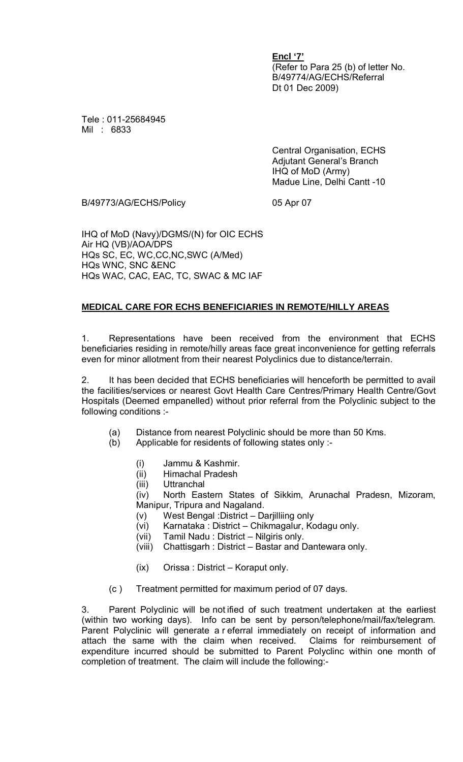**Encl '7'** (Refer to Para 25 (b) of letter No. B/49774/AG/ECHS/Referral Dt 01 Dec 2009)

Tele : 011-25684945 Mil : 6833

> Central Organisation, ECHS Adjutant General's Branch IHQ of MoD (Army) Madue Line, Delhi Cantt -10

B/49773/AG/ECHS/Policy 05 Apr 07

IHQ of MoD (Navy)/DGMS/(N) for OIC ECHS Air HQ (VB)/AOA/DPS HQs SC, EC, WC,CC,NC,SWC (A/Med) HQs WNC, SNC &ENC HQs WAC, CAC, EAC, TC, SWAC & MC IAF

## **MEDICAL CARE FOR ECHS BENEFICIARIES IN REMOTE/HILLY AREAS**

1. Representations have been received from the environment that ECHS beneficiaries residing in remote/hilly areas face great inconvenience for getting referrals even for minor allotment from their nearest Polyclinics due to distance/terrain.

2. It has been decided that ECHS beneficiaries will henceforth be permitted to avail the facilities/services or nearest Govt Health Care Centres/Primary Health Centre/Govt Hospitals (Deemed empanelled) without prior referral from the Polyclinic subject to the following conditions :-

- (a) Distance from nearest Polyclinic should be more than 50 Kms.
- (b) Applicable for residents of following states only :-
	- (i) Jammu & Kashmir.
	- (ii) Himachal Pradesh
	- (iii) Uttranchal

(iv) North Eastern States of Sikkim, Arunachal Pradesn, Mizoram, Manipur, Tripura and Nagaland.

- (v) West Bengal :District Darjilliing only
- (vi) Karnataka : District Chikmagalur, Kodagu only.
- (vii) Tamil Nadu : District Nilgiris only.
- (viii) Chattisgarh : District Bastar and Dantewara only.
- (ix) Orissa : District Koraput only.
- (c ) Treatment permitted for maximum period of 07 days.

3. Parent Polyclinic will be not ified of such treatment undertaken at the earliest (within two working days). Info can be sent by person/telephone/mail/fax/telegram. Parent Polyclinic will generate a r eferral immediately on receipt of information and attach the same with the claim when received. Claims for reimbursement of expenditure incurred should be submitted to Parent Polyclinc within one month of completion of treatment. The claim will include the following:-